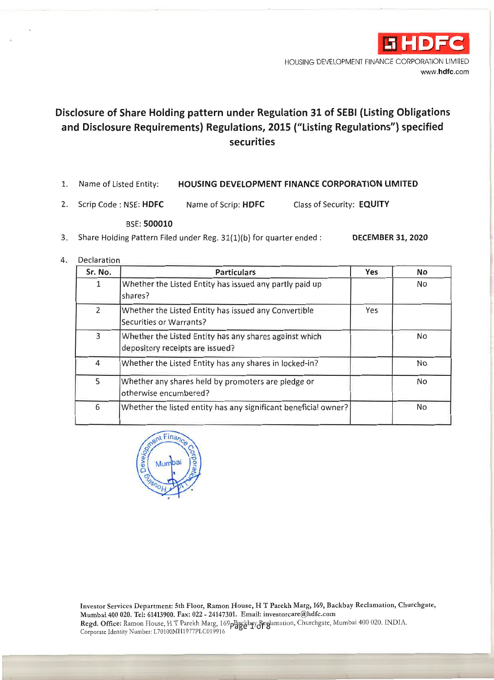

HOUSING DEVELOPMENT FINANCE CORPORATION LIMITED www.hdfc.com

# Disclosure of Share Holding pattern under Regulation 31 of SEBI (Listing Obligations and Disclosure Requirements) Regulations, 2015 ("Listing Regulations") specified securities

- Name of Listed Entity: HOUSING DEVELOPMENT FINANCE CORPORATION LIMITED 1.
- $2.$ Scrip Code: NSE: HDFC Name of Scrip: HDFC Class of Security: EQUITY

#### BSE: 500010

- $3.$ Share Holding Pattern Filed under Reg. 31(1)(b) for quarter ended : **DECEMBER 31, 2020**
- Declaration  $4.$

| Sr. No.        | <b>Particulars</b>                                                                        | <b>Yes</b> | No  |
|----------------|-------------------------------------------------------------------------------------------|------------|-----|
| $\mathbf{1}$   | Whether the Listed Entity has issued any partly paid up<br>shares?                        |            | No  |
| $\overline{2}$ | Whether the Listed Entity has issued any Convertible<br>Securities or Warrants?           | Yes        |     |
| 3              | Whether the Listed Entity has any shares against which<br>depository receipts are issued? |            | No. |
| 4              | Whether the Listed Entity has any shares in locked-in?                                    |            | No  |
| 5              | Whether any shares held by promoters are pledge or<br>otherwise encumbered?               |            | No  |
| 6              | Whether the listed entity has any significant beneficial owner?                           |            | No  |



Investor Services Department: 5th Floor, Ramon House, H T Parekh Marg, 169, Backbay Reclamation, Churchgate, Mumbai 400 020. Tel: 61413900. Fax: 022 - 24147301. Email: investorcare@hdfc.com Regd. Office: Ramon House, H T Parekh Marg, 169pBaggbay Reglamation, Churchgate, Mumbai 400 020. INDIA. Corporate Identity Number: L70100MH1977PLC019916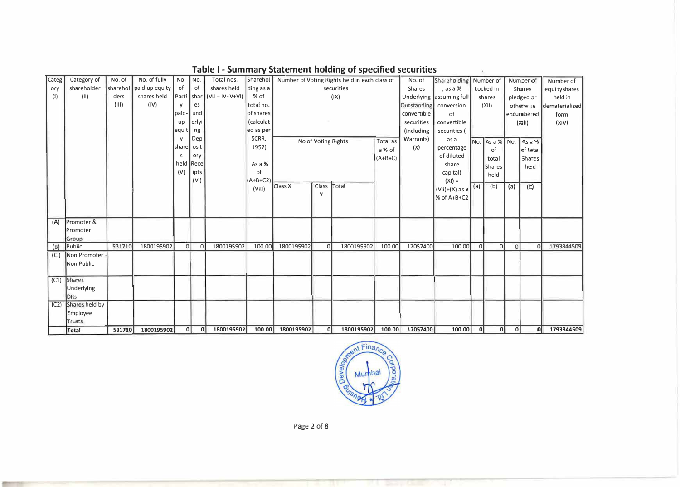| Categ | Category of      | No. of   | No. of fully   | No.          | No.          | Total nos.            | Sharehol   |            |          | Number of Voting Rights held in each class of |           | No. of        | Shareholding             |          | Number of          |     | Numberor      | Number of      |
|-------|------------------|----------|----------------|--------------|--------------|-----------------------|------------|------------|----------|-----------------------------------------------|-----------|---------------|--------------------------|----------|--------------------|-----|---------------|----------------|
| ory   | shareholder      | sharehol | paid up equity | of           | of           | shares held           | ding as a  |            |          | securities                                    |           | <b>Shares</b> | , as a %                 |          | Locked in          |     | Shares        | equi ty shares |
| (1)   | (II)             | ders     | shares held    | Parti shar   |              | $ V   =  V + V + V  $ | % of       |            |          | (IX)                                          |           |               | Underlying assuming full |          | shares             |     | pledged p-    | held in        |
|       |                  | (III)    | (IV)           | v            | es           |                       | total no.  |            |          |                                               |           | Outstanding   | conversion               |          | (XII)              |     | othewise      | dematerialized |
|       |                  |          |                | paid-        | und          |                       | of shares  |            |          |                                               |           | convertible   | of                       |          |                    |     | encumbered    | form           |
|       |                  |          |                | <b>up</b>    | erlyi        |                       | (calculat  |            |          |                                               |           | securities    | convertible              |          |                    |     | (N  )         | (XIV)          |
|       |                  |          |                | equit        | ng           |                       | ed as per  |            |          |                                               |           | (including    | securities (             |          |                    |     |               |                |
|       |                  |          |                | $\mathsf{v}$ | Dep          |                       | SCRR,      |            |          | No of Voting Rights                           | Total as  | Warrants)     | as a                     |          | No.   As a %   No. |     | $As \ge 6$    |                |
|       |                  |          |                | share        | osit         |                       | 1957)      |            |          |                                               | a % of    | (X)           | percentage               |          | of                 |     | loftet∋l      |                |
|       |                  |          |                | s            | ory          |                       |            |            |          |                                               | $(A+B+C)$ |               | of diluted               |          | total              |     | <b>Shares</b> |                |
|       |                  |          |                | held         | Rece         |                       | As a %     |            |          |                                               |           |               | share                    |          | Shares             |     | hec           |                |
|       |                  |          |                | (V)          | ipts         |                       | of         |            |          |                                               |           |               | capital)                 |          | held               |     |               |                |
|       |                  |          |                |              | (VI)         |                       | $(A+B+C2)$ |            |          |                                               |           |               | $(XI) =$                 |          |                    |     |               |                |
|       |                  |          |                |              |              |                       | (VIII)     | Class X    | Class    | Total                                         |           |               | $(VII)+(X)$ as a         | (a)      | (b)                | (a) | (E)           |                |
|       |                  |          |                |              |              |                       |            |            | Y        |                                               |           |               | % of A+B+C2              |          |                    |     |               |                |
|       |                  |          |                |              |              |                       |            |            |          |                                               |           |               |                          |          |                    |     |               |                |
|       |                  |          |                |              |              |                       |            |            |          |                                               |           |               |                          |          |                    |     |               |                |
| (A)   | Promoter &       |          |                |              |              |                       |            |            |          |                                               |           |               |                          |          |                    |     |               |                |
|       | <b>IPromoter</b> |          |                |              |              |                       |            |            |          |                                               |           |               |                          |          |                    |     |               |                |
|       | Group            |          |                |              |              |                       |            |            |          |                                               |           |               |                          |          |                    |     |               |                |
| (B)   | Public           | 531710   | 1800195902     | 0l           | $\Omega$     | 1800195902            | 100.00     | 1800195902 | $\Omega$ | 1800195902                                    | 100.00    | 17057400      | 100.00                   | $\Omega$ | οI                 | 0   | $\Omega$      | 1793844509     |
| (C)   | Non Promoter     |          |                |              |              |                       |            |            |          |                                               |           |               |                          |          |                    |     |               |                |
|       | Non Public       |          |                |              |              |                       |            |            |          |                                               |           |               |                          |          |                    |     |               |                |
|       |                  |          |                |              |              |                       |            |            |          |                                               |           |               |                          |          |                    |     |               |                |
| (C1)  | <b>Shares</b>    |          |                |              |              |                       |            |            |          |                                               |           |               |                          |          |                    |     |               |                |
|       | Underlying       |          |                |              |              |                       |            |            |          |                                               |           |               |                          |          |                    |     |               |                |
|       | DRs              |          |                |              |              |                       |            |            |          |                                               |           |               |                          |          |                    |     |               |                |
| (C2)  | Shares held by   |          |                |              |              |                       |            |            |          |                                               |           |               |                          |          |                    |     |               |                |
|       | Employee         |          |                |              |              |                       |            |            |          |                                               |           |               |                          |          |                    |     |               |                |
|       | Trusts           |          |                |              |              |                       |            |            |          |                                               |           |               |                          |          |                    |     |               |                |
|       | Total            | 531710   | 1800195902     | οl           | $\mathbf{0}$ | 1800195902            | 100.00     | 1800195902 | 0        | 1800195902                                    | 100.00    | 17057400      | 100.00                   | 0        | 0                  | 0   | <sub>0</sub>  | 1793844509     |

## Table I - Summary Statement holding of specified securities



Page 2 of 8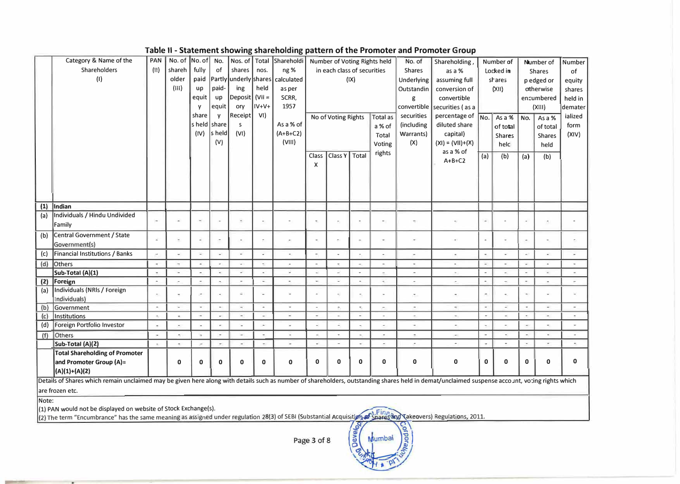Table II - Statement showing shareholding nattern of the Promoter and Promoter Group

|     |                                                                                                                                                                                                | ,,,,,                    |                          |                          |                          |                          |          |                          |                          |                             |       |                              |                          | - Jacques Showing Shareholding pattern or the Fromoter and Fromoter Group |                          |               |                          |                          |         |
|-----|------------------------------------------------------------------------------------------------------------------------------------------------------------------------------------------------|--------------------------|--------------------------|--------------------------|--------------------------|--------------------------|----------|--------------------------|--------------------------|-----------------------------|-------|------------------------------|--------------------------|---------------------------------------------------------------------------|--------------------------|---------------|--------------------------|--------------------------|---------|
|     | Category & Name of the                                                                                                                                                                         | PAN                      | No. of No. of No.        |                          |                          |                          |          | Nos. of Total Shareholdi |                          |                             |       | Number of Voting Rights held | No. of                   | Shareholding                                                              |                          | Number of     |                          | Number of                | Number  |
|     | Shareholders                                                                                                                                                                                   | (11)                     | shareh                   | fully                    | of                       | shares                   | nos.     | ng%                      |                          | in each class of securities |       |                              | <b>Shares</b>            | as a %                                                                    |                          | Locked in     |                          | <b>Shares</b>            | of      |
|     | (1)                                                                                                                                                                                            |                          | older                    | paid                     |                          | Partly underly shares    |          | calculated               |                          |                             | (IX)  |                              | Underlying               | assuming full                                                             |                          | shares        |                          | p edged or               | equity  |
|     |                                                                                                                                                                                                |                          | (III)                    | up                       | paid-                    | ing                      | held     | as per                   |                          |                             |       |                              | Outstandin               | conversion of                                                             |                          | (XH)          |                          | otherwise                | shares  |
|     |                                                                                                                                                                                                |                          |                          | equit                    | up                       | Deposit   (VII =         |          | SCRR,                    |                          |                             |       |                              | g                        | convertible                                                               |                          |               |                          | encumbered               | held in |
|     |                                                                                                                                                                                                |                          |                          | V                        | equit                    | ory                      | IV+V+    | 1957                     |                          |                             |       |                              | convertible              | securities (as a                                                          |                          |               |                          | (XIII)                   | demater |
|     |                                                                                                                                                                                                |                          |                          | share                    | V                        | Receipt                  | VI)      |                          |                          | No of Voting Rights         |       | Total as                     | securities               | percentage of $N_0$ .                                                     |                          | As a %        | No.                      | As a %                   | ialized |
|     |                                                                                                                                                                                                |                          |                          | s held share             |                          | s                        |          | As a % of                |                          |                             |       | a % of                       | (including               | diluted share                                                             |                          | of total      |                          | of total                 | form    |
|     |                                                                                                                                                                                                |                          |                          | (IV)                     | s held                   | (VI)                     |          | $(A+B+C2)$               |                          |                             |       | Total                        | Warrants)                | capital)                                                                  |                          | <b>Shares</b> |                          | <b>Shares</b>            | (XIV)   |
|     |                                                                                                                                                                                                |                          |                          |                          | (V)                      |                          |          | (VIII)                   |                          |                             |       | Voting                       | (X)                      | $(XI) = (VII)+(X)$                                                        |                          | helc          |                          | held                     |         |
|     |                                                                                                                                                                                                |                          |                          |                          |                          |                          |          |                          | <b>Class</b>             | Class Y                     | Total | rights                       |                          | as a % of                                                                 | (a)                      | (b)           | (a)                      | (b)                      |         |
|     |                                                                                                                                                                                                |                          |                          |                          |                          |                          |          |                          | X                        |                             |       |                              |                          | $A+B+C2$                                                                  |                          |               |                          |                          |         |
|     |                                                                                                                                                                                                |                          |                          |                          |                          |                          |          |                          |                          |                             |       |                              |                          |                                                                           |                          |               |                          |                          |         |
|     |                                                                                                                                                                                                |                          |                          |                          |                          |                          |          |                          |                          |                             |       |                              |                          |                                                                           |                          |               |                          |                          |         |
|     |                                                                                                                                                                                                |                          |                          |                          |                          |                          |          |                          |                          |                             |       |                              |                          |                                                                           |                          |               |                          |                          |         |
|     |                                                                                                                                                                                                |                          |                          |                          |                          |                          |          |                          |                          |                             |       |                              |                          |                                                                           |                          |               |                          |                          |         |
| (1) | Indian                                                                                                                                                                                         |                          |                          |                          |                          |                          |          |                          |                          |                             |       |                              |                          |                                                                           |                          |               |                          |                          |         |
| (a) | Individuals / Hindu Undivided                                                                                                                                                                  | $\sim$                   | $\overline{a}$           | $\equiv$                 |                          |                          |          |                          |                          |                             |       |                              |                          |                                                                           | $\overline{a}$           |               | $\overline{\phantom{a}}$ |                          |         |
|     | Family                                                                                                                                                                                         |                          |                          |                          |                          |                          |          |                          |                          |                             |       |                              |                          |                                                                           |                          |               |                          |                          |         |
| (b) | <b>Central Government / State</b>                                                                                                                                                              |                          |                          | L                        |                          |                          |          | $\overline{a}$           |                          |                             |       | ٠                            |                          |                                                                           | $\tilde{\phantom{a}}$    |               | $\overline{\phantom{a}}$ |                          |         |
|     | Government(s)                                                                                                                                                                                  |                          |                          |                          |                          |                          |          |                          |                          |                             |       |                              |                          |                                                                           |                          |               |                          |                          |         |
| (c) | <b>Financial Institutions / Banks</b>                                                                                                                                                          | $\overline{\phantom{a}}$ |                          | L.                       |                          | $\lambda$                |          | $\overline{a}$           | $\sim$                   |                             |       |                              | $\overline{\phantom{a}}$ |                                                                           | $\blacksquare$           |               | $\omega^{\pm}$           |                          |         |
| (d) | <b>Others</b>                                                                                                                                                                                  | $\overline{\phantom{a}}$ |                          | $\overline{\phantom{a}}$ | ÷                        | ÷.                       | L.       | ÷,                       | $\bar{a}$                |                             |       |                              | ٠                        |                                                                           | $\overline{\phantom{a}}$ |               | $\omega$                 |                          |         |
|     | Sub-Total (A)(1)                                                                                                                                                                               | $\sim$                   | $\blacksquare$           | $\sim$                   | ×.                       | s.                       | $\sim$   | $\omega$                 | A.                       | z.                          | ÷     |                              | $\bar{\phantom{a}}$      |                                                                           | $\sim$                   |               | $\omega$                 | $\overline{a}$           |         |
| (2) | Foreign                                                                                                                                                                                        | $\sim$                   |                          | ٠                        | $\overline{a}$           | ٠                        | s.       | i.                       | ÷                        | ٠                           |       |                              |                          |                                                                           | $\sim$                   |               | $\sim$                   |                          |         |
| (a) | Individuals (NRIs / Foreign                                                                                                                                                                    |                          |                          | $\sim$                   |                          | ٤                        |          |                          | $\overline{\phantom{a}}$ |                             |       |                              |                          |                                                                           | ×,                       |               | $\sim$                   |                          |         |
|     | Individuals)                                                                                                                                                                                   |                          |                          |                          |                          |                          |          |                          |                          |                             |       |                              |                          |                                                                           |                          |               |                          |                          |         |
| (b) | Government                                                                                                                                                                                     | $\sim$                   | $\overline{\phantom{a}}$ | $\sim$                   | $\sim$                   | $\overline{a}$           | $\Delta$ | $\blacksquare$           | $\overline{\phantom{a}}$ | $\tilde{m}_1$               | ×.    | $\overline{\phantom{a}}$     | $\overline{\phantom{a}}$ | $\sim$                                                                    | $\overline{\phantom{a}}$ | ÷.            | $\alpha$                 | $\overline{\phantom{a}}$ |         |
| (c) | Institutions                                                                                                                                                                                   | $\overline{\phantom{a}}$ |                          |                          |                          |                          |          | ш                        |                          |                             |       |                              | $\overline{\phantom{a}}$ |                                                                           |                          |               |                          |                          |         |
| (d) | Foreign Portfolio Investor                                                                                                                                                                     |                          |                          |                          |                          |                          |          |                          |                          |                             |       |                              |                          |                                                                           |                          |               | J.                       |                          |         |
| (f) | Others                                                                                                                                                                                         | $\blacksquare$           |                          | $\overline{a}$           | $\overline{\phantom{a}}$ | $\overline{\phantom{a}}$ |          | $\sim$                   | ш                        |                             |       | $\overline{\phantom{a}}$     | $\blacksquare$           | $\sim$                                                                    | $\sim$                   |               | $\sim$                   | $\sim$                   |         |
|     | Sub-Total (A)(2)                                                                                                                                                                               | $\sim$                   |                          |                          |                          |                          |          |                          |                          |                             |       |                              |                          |                                                                           |                          |               |                          |                          |         |
|     | <b>Total Shareholding of Promoter</b>                                                                                                                                                          |                          |                          |                          |                          |                          |          |                          |                          |                             |       |                              |                          |                                                                           |                          |               |                          |                          |         |
|     | and Promoter Group (A)=                                                                                                                                                                        |                          | 0                        | 0                        | $\mathbf{0}$             | $\mathbf{0}$             | 0        | $\mathbf 0$              | $\mathbf 0$              | 0                           | 0     | $\mathbf{0}$                 | 0                        | 0                                                                         | 0                        | $\mathbf 0$   | $\mathbf 0$              | $\mathbf 0$              | 0       |
|     | $(A)(1)+(A)(2)$                                                                                                                                                                                |                          |                          |                          |                          |                          |          |                          |                          |                             |       |                              |                          |                                                                           |                          |               |                          |                          |         |
|     | Details of Shares which remain unclaimed may be given here along with details such as number of shareholders, outstanding shares held in demat/unclaimed suspense account, voting rights which |                          |                          |                          |                          |                          |          |                          |                          |                             |       |                              |                          |                                                                           |                          |               |                          |                          |         |
|     | are frozen etc.                                                                                                                                                                                |                          |                          |                          |                          |                          |          |                          |                          |                             |       |                              |                          |                                                                           |                          |               |                          |                          |         |
|     |                                                                                                                                                                                                |                          |                          |                          |                          |                          |          |                          |                          |                             |       |                              |                          |                                                                           |                          |               |                          |                          |         |

Note:

(1) PAN would not be displayed on website of Stock Exchange(s).

(1) PAN would not be displayed on website of Stock Exchange(s).<br>(2) The term "Encumbrance" has the same meaning as assigned under regulation 28(3) of SEBI (Substantial Acquisition architect And Takeovers) Regulations, 2011

Page 3 of 8

Develon Mumbai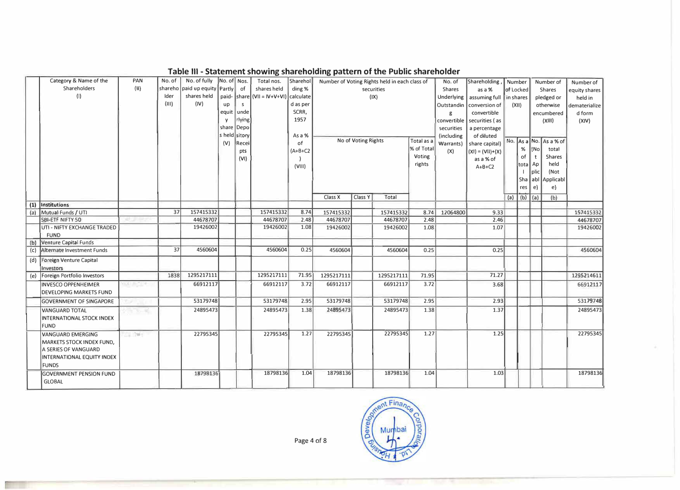|     | Category & Name of the                                       | PAN            | No. of | No. of fully No. of Nos.      |               |        | Total nos.                                  | Sharehol  |            |                     | Number of Voting Rights held in each class of |            | No. of        | Shareholding,                | Number    |           |                 | Number of              | Number of     |
|-----|--------------------------------------------------------------|----------------|--------|-------------------------------|---------------|--------|---------------------------------------------|-----------|------------|---------------------|-----------------------------------------------|------------|---------------|------------------------------|-----------|-----------|-----------------|------------------------|---------------|
|     | Shareholders                                                 | $(\mathsf{H})$ |        | shareho paid up equity Partly |               | of     | shares held                                 | ding %    |            |                     | securities                                    |            | <b>Shares</b> | as a %                       | of Locked |           |                 | Shares                 | equity shares |
|     | (1)                                                          |                | Ider   | shares held                   |               |        | paid-   share   (VII = IV+V+VI)   calculate |           |            |                     | (IX)                                          |            | Underlying    | assuming full                | in shares |           |                 | pledged or             | held in       |
|     |                                                              |                | (111)  | (IV)                          | up            | s.     |                                             | d as per  |            |                     |                                               |            | Outstandin    | conversion of                |           | (X  )     |                 | otherwise              | dematerialize |
|     |                                                              |                |        |                               | equit         | unde   |                                             | SCRR,     |            |                     |                                               |            | g             | convertible                  |           |           |                 | encumbered             | d form        |
|     |                                                              |                |        |                               |               | rlying |                                             | 1957      |            |                     |                                               |            |               | convertible   securities (as |           |           |                 | (XIII)                 | (X V)         |
|     |                                                              |                |        |                               | share Depo    |        |                                             |           |            |                     |                                               |            | securities    | a percentage                 |           |           |                 |                        |               |
|     |                                                              |                |        |                               | s held sitory |        |                                             | As a %    |            |                     |                                               |            | (including    | of diluted                   |           |           |                 |                        |               |
|     |                                                              |                |        |                               | (V)           | Recei  |                                             | of        |            | No of Voting Rights |                                               | Total as a | Warrants)     | share capital)               |           |           |                 | No. As a No. As a % of |               |
|     |                                                              |                |        |                               |               | pts    |                                             | $(A+B+C2$ |            |                     |                                               | % of Total | (X)           | $(XI) = (VII)+(X)$           |           | %         | 1N <sub>O</sub> | total                  |               |
|     |                                                              |                |        |                               |               | (VI)   |                                             |           |            |                     |                                               | Voting     |               | as a % of                    |           | of        | t               | <b>Shares</b>          |               |
|     |                                                              |                |        |                               |               |        |                                             | (VIII)    |            |                     |                                               | rights     |               | $A+B+C2$                     |           | tota Ap   |                 | held                   |               |
|     |                                                              |                |        |                               |               |        |                                             |           |            |                     |                                               |            |               |                              |           |           | plic            | (Not                   |               |
|     |                                                              |                |        |                               |               |        |                                             |           |            |                     |                                               |            |               |                              |           |           |                 | Sha abl Applicabl      |               |
|     |                                                              |                |        |                               |               |        |                                             |           |            |                     |                                               |            |               |                              |           | res       | e)              | e}                     |               |
|     |                                                              |                |        |                               |               |        |                                             |           | Class X    | Class Y             | Total                                         |            |               |                              | (a)       | $(b)$ (a) |                 | (b)                    |               |
|     | (1) Institutions                                             |                |        |                               |               |        |                                             |           |            |                     |                                               |            |               |                              |           |           |                 |                        |               |
|     | (a) Mutual Funds / UTI                                       |                | 37     | 157415332                     |               |        | 157415332                                   | 8.74      | 157415332  |                     | 157415332                                     | 8.74       | 12064800      | 9.33                         |           |           |                 |                        | 157415332     |
|     | SBI-ETF NIFTY 50                                             |                |        | 44678707                      |               |        | 44678707                                    | 2.48      | 44678707   |                     | 44678707                                      | 2.48       |               | 2.46                         |           |           |                 |                        | 44678707      |
|     | UTI - NIFTY EXCHANGE TRADED                                  |                |        | 19426002                      |               |        | 19426002                                    | 1.08      | 19426002   |                     | 19426002                                      | 1.08       |               | 1.07                         |           |           |                 |                        | 19426002      |
|     | <b>FUND</b>                                                  |                |        |                               |               |        |                                             |           |            |                     |                                               |            |               |                              |           |           |                 |                        |               |
|     | (b) Venture Capital Funds                                    |                |        |                               |               |        |                                             |           |            |                     |                                               |            |               |                              |           |           |                 |                        |               |
| (c) | Alternate Investment Funds                                   |                | 37     | 4560604                       |               |        | 4560604                                     | 0.25      | 4560604    |                     | 4560604                                       | 0.25       |               | 0.25                         |           |           |                 |                        | 4560604       |
|     | (d) Foreign Venture Capital<br>Investors                     |                |        |                               |               |        |                                             |           |            |                     |                                               |            |               |                              |           |           |                 |                        |               |
| (e) | Foreign Portfolio Investors                                  |                | 1838   | 1295217111                    |               |        | 1295217111                                  | 71.95     | 1295217111 |                     | 1295217111                                    | 71.95      |               | 71.27                        |           |           |                 |                        | 1295214611    |
|     | <b>INVESCO OPPENHEIMER</b><br><b>DEVELOPING MARKETS FUND</b> | o congress     |        | 66912117                      |               |        | 66912117                                    | 3.72      | 66912117   |                     | 66912117                                      | 3.72       |               | 3.68                         |           |           |                 |                        | 66912117      |
|     | <b>GOVERNMENT OF SINGAPORE</b>                               |                |        | 53179748                      |               |        | 53179748                                    | 2.95      | 53179748   |                     | 53179748                                      | 2.95       |               | 2.93                         |           |           |                 |                        | 53179748      |
|     | <b>VANGUARD TOTAL</b>                                        | <b>TENNIS</b>  |        | 24895473                      |               |        | 24895473                                    | 1.38      | 24895473   |                     | 24895473                                      | 1.38       |               | 1.37                         |           |           |                 |                        | 24895473      |
|     | INTERNATIONAL STOCK INDEX                                    |                |        |                               |               |        |                                             |           |            |                     |                                               |            |               |                              |           |           |                 |                        |               |
|     | <b>FUND</b>                                                  |                |        |                               |               |        |                                             |           |            |                     |                                               |            |               |                              |           |           |                 |                        |               |
|     | <b>VANGUARD EMERGING</b>                                     | $-1.791$       |        | 22795345                      |               |        | 22795345                                    | 1.27      | 22795345   |                     | 22795345                                      | 1.27       |               | 1.25                         |           |           |                 |                        | 22795345      |
|     | MARKETS STOCK INDEX FUND,                                    |                |        |                               |               |        |                                             |           |            |                     |                                               |            |               |                              |           |           |                 |                        |               |
|     | A SERIES OF VANGUARD                                         |                |        |                               |               |        |                                             |           |            |                     |                                               |            |               |                              |           |           |                 |                        |               |
|     | <b>INTERNATIONAL EQUITY INDEX</b>                            |                |        |                               |               |        |                                             |           |            |                     |                                               |            |               |                              |           |           |                 |                        |               |
|     | <b>FUNDS</b>                                                 |                |        |                               |               |        |                                             |           |            |                     |                                               |            |               |                              |           |           |                 |                        |               |
|     | <b>GOVERNMENT PENSION FUND</b>                               |                |        | 18798136                      |               |        | 18798136                                    | 1.04      | 18798136   |                     | 18798136                                      | 1.04       |               | 1.03                         |           |           |                 |                        | 18798136      |
|     | <b>GLOBAL</b>                                                |                |        |                               |               |        |                                             |           |            |                     |                                               |            |               |                              |           |           |                 |                        |               |
|     |                                                              |                |        |                               |               |        |                                             |           |            |                     |                                               |            |               |                              |           |           |                 |                        |               |

#### **Table Ill - Statement showing shareholding pattern of the Public shareholder**

Page 4 of 8

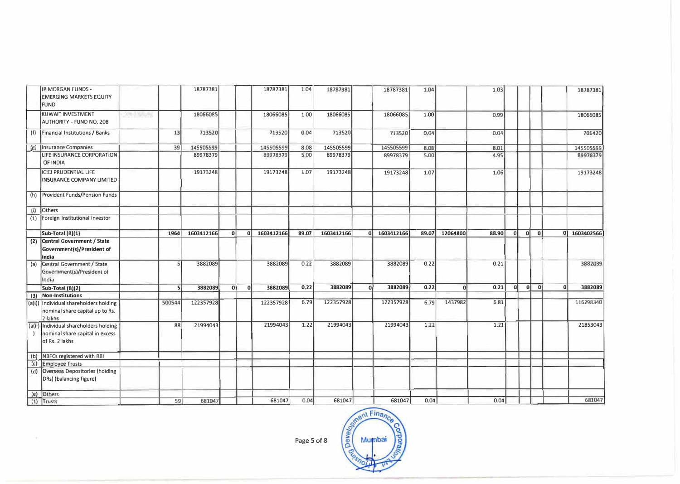|              | JP MORGAN FUNDS -<br><b>EMERGING MARKETS EQUITY</b><br><b>FUND</b>                          |                 |        | 18787381   |    |              | 18787381   | 1.04  | 18787381   |    | 18787381   | 1.04  |            | 1.03  |               |   |    |                | 18787381   |
|--------------|---------------------------------------------------------------------------------------------|-----------------|--------|------------|----|--------------|------------|-------|------------|----|------------|-------|------------|-------|---------------|---|----|----------------|------------|
|              | KUWAIT INVESTMENT<br>AUTHORITY - FUND NO. 208                                               | <b>SEAM ATT</b> |        | 18066085   |    |              | 18066085   | 1.00  | 18066085   |    | 18066085   | 1.00  |            | 0.99  |               |   |    |                | 18066085   |
| (f)          | Financial Institutions / Banks                                                              |                 | 13     | 713520     |    |              | 713520     | 0.04  | 713520     |    | 713520     | 0.04  |            | 0.04  |               |   |    |                | 706420     |
|              | (g) Insurance Companies                                                                     |                 | 39     | 145505599  |    |              | 145505599  | 8.08  | 145505599  |    | 145505599  | 8.08  |            | 8.01  |               |   |    |                | 145505599  |
|              | LIFE INSURANCE CORPORATION<br>OF INDIA                                                      |                 |        | 89978379   |    |              | 89978379   | 5.00  | 89978379   |    | 89978379   | 5.00  |            | 4.95  |               |   |    |                | 89978379   |
|              | <b>ICICI PRUDENTIAL LIFE</b><br>INSURANCE COMPANY LIMITED                                   |                 |        | 19173248   |    |              | 19173248   | 1.07  | 19173248   |    | 19173248   | 1.07  |            | 1.06  |               |   |    |                | 19173248   |
|              | (h) Provident Funds/Pension Funds                                                           |                 |        |            |    |              |            |       |            |    |            |       |            |       |               |   |    |                |            |
| (i)          | Others                                                                                      |                 |        |            |    |              |            |       |            |    |            |       |            |       |               |   |    |                |            |
|              | (1) Foreign Institutional Investor                                                          |                 |        |            |    |              |            |       |            |    |            |       |            |       |               |   |    |                |            |
|              | Sub-Total (B)(1)                                                                            |                 | 1964   | 1603412166 | 0  | $\mathbf{0}$ | 1603412166 | 89.07 | 1603412166 | ΩI | 1603412166 | 89.07 | 12064800   | 88.90 | ol            | 0 | 0  | 0 <sup>1</sup> | 1603402566 |
|              | (2) Central Government / State<br>Government(s)/President of<br>India                       |                 |        |            |    |              |            |       |            |    |            |       |            |       |               |   |    |                |            |
| (a)          | Central Government / State<br>Government(s)/President of<br>India                           |                 | 5      | 3882089    |    |              | 3882089    | 0.22  | 3882089    |    | 3882089    | 0.22  |            | 0.21  |               |   |    |                | 3882089    |
|              | Sub-Total (B)(2)                                                                            |                 | S      | 3882089    | 0Î | οl           | 3882089    | 0.22  | 3882089    | 0l | 3882089    | 0.22  | $\sqrt{ }$ | 0.21  | <sub>al</sub> | 0 | ol | 0l             | 3882089    |
| (3)          | Non-Institutions                                                                            |                 |        |            |    |              |            |       |            |    |            |       |            |       |               |   |    |                |            |
|              | (a(i)) Individual shareholders holding<br>nominal share capital up to Rs.<br>2 lakhs        |                 | 500544 | 122357928  |    |              | 122357928  | 6.79  | 122357928  |    | 122357928  | 6.79  | 1437982    | 6.81  |               |   |    |                | 116298340  |
|              | (a(ii) Individual shareholders holding<br>nominal share capital in excess<br>of Rs. 2 lakhs |                 | 88     | 21994043   |    |              | 21994043   | 1.22  | 21994043   |    | 21994043   | 1.22  |            | 1.21  |               |   |    |                | 21853043   |
|              | (b) NBFCs registered with RBI                                                               |                 |        |            |    |              |            |       |            |    |            |       |            |       |               |   |    |                |            |
| $(\epsilon)$ | <b>Employee Trusts</b>                                                                      |                 |        |            |    |              |            |       |            |    |            |       |            |       |               |   |    |                |            |
|              | (d) Overseas Depositories (holding<br>DRs) (balancing figure)                               |                 |        |            |    |              |            |       |            |    |            |       |            |       |               |   |    |                |            |
|              | (e) Others                                                                                  |                 |        |            |    |              |            |       |            |    |            |       |            |       |               |   |    |                |            |
|              | $11$ ] Trusts                                                                               |                 | 59     | 681047     |    |              | 681047     | 0.04  | 681047     |    | 681047     | 0.04  |            | 0.04  |               |   |    |                | 681047     |

Page 5 of 8

(1) Trusts  $\frac{59}{\frac{39}{\frac{300001}{681041}}}}$  b8104/  $\frac{59}{\frac{39}{\frac{300001}{681041}}}}$  Page 5 of 8 er<sub>la</sub>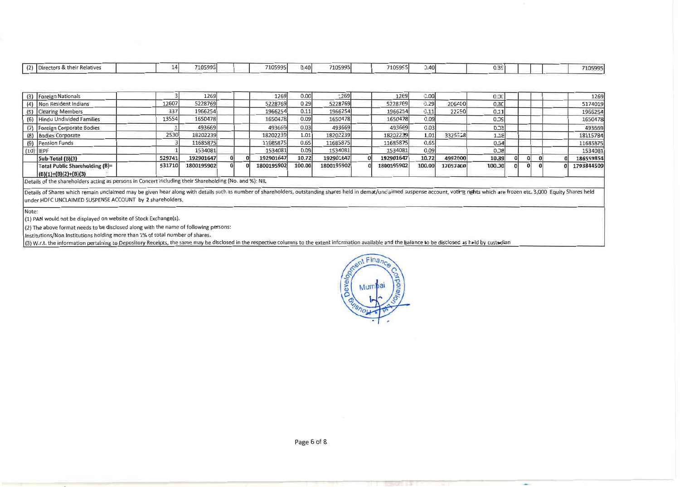|  | $\sqrt{2}$ | <b>IDire</b><br>s & their Relatives |  | - 12 | 105995' |  | -------<br>ונוב<br>10599. | 0.40 | 7105995<br>------ |  | 71059551 | 0.40 |  |  |  |  |  | 710599. |
|--|------------|-------------------------------------|--|------|---------|--|---------------------------|------|-------------------|--|----------|------|--|--|--|--|--|---------|
|--|------------|-------------------------------------|--|------|---------|--|---------------------------|------|-------------------|--|----------|------|--|--|--|--|--|---------|

| (3) Foreign Nationals          |        | 1269       |  | 1269       | 0.00   | 1269       | 1269       | 0.001  |          | 0.20     |  |  | 1269       |
|--------------------------------|--------|------------|--|------------|--------|------------|------------|--------|----------|----------|--|--|------------|
| (4) Non Resident Indians       | 12607  | 5228769    |  | 5228769    | 0.29   | 5228769    | 5228769    | 0.29   | 206450   | 03C      |  |  | 5174019    |
| (5) Clearing Members           | 337    | 1966254    |  | 1966254    | 0.11   | 1966254    | 1966254    | 0.11   | 22250    | 011      |  |  | 1966254    |
| (6) Hindu Undivided Families   | 13554  | 1650478    |  | 1650478    | 0.09   | 1650478    | 1650478    | 0.09   |          | ا وحـ 0  |  |  | 1650478    |
| (7) Foreign Corporate Bodies   |        | 493669     |  | 493669     | 0.03   | 493669     | 493669     | 0.03   |          | $0 - 31$ |  |  | 493669     |
| (8) Bodies Corporate           | 2530   | 18202239   |  | 18202239   | 1.01   | 18202239   | 18202239   | 1.01   | 3325558  | 118      |  |  | 18115784   |
| (9) Pension Funds              |        | 11685875   |  | 11685875   | 0.65   | 11685875   | 11685875   | 0.65   |          | 0.54     |  |  | 11685875   |
| $(10)$ IEPF                    |        | 1534081    |  | 1534081    | 0.09   | 1534081    | 1534081    | 0.09   |          | 0.38     |  |  | 1534081    |
| Sub-Total (B)(3)               | 529741 | 192901647  |  | 192901647  | 10.72  | 192901647  | 192901647  | 10.72  | 4992600  | 10.39    |  |  | 186559854  |
| Total Public Shareholding (B)= | 531710 | 1800195902 |  | 1800195902 | 100.00 | 1800195902 | 1800195902 | 100.00 | 17057400 | 100.00   |  |  | 1793844509 |
| $(B)(1)+(B)(2)+(B)(3)$         |        |            |  |            |        |            |            |        |          |          |  |  |            |

Details of the shareholders acting as persons in Concert including their Shareholding (No. and %): NIL

Details of Shares which remain unclaimed may be given hear along with details such as number of shareholders, outstanding shares held in demat/unclaimed suspense account, voting rights which are frozen etc. 3,000 Equity Sh under HDFC UNCLAIMED SUSPENSE ACCOUNT by 2 shareholders.

Note:

(1) PAN would not be displayed on website of Stock Exchange(s).

(2) The above format needs to be disclosed along with the name of following persons:

Institutions/Non Institutions holding more than 1% of total number of shares.

(3) W.r.t. the information pertaining to Depository Receipts, the same may be disclosed in the respective columns to the extent information available and the balance to be disclosed as held by custodian



المعاد

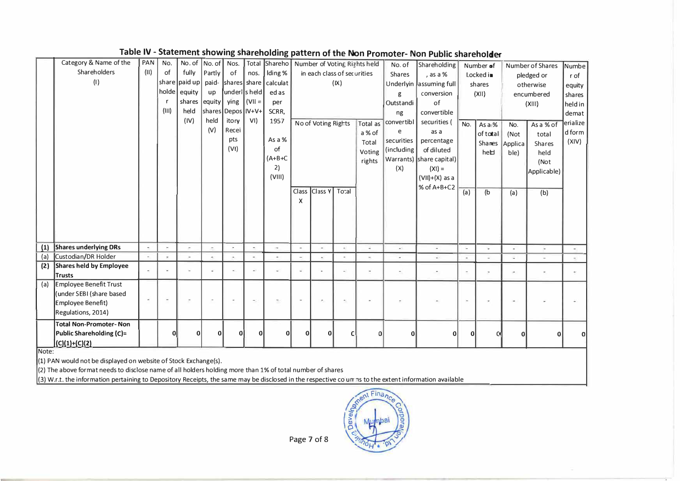|     | Category & Name of the         | PAN                      | No.          | No. of        | No. of                   | Nos.                   |                          | Total Shareho Number of Voting Rights held |          |                     |                             |          | No. of                   |                            |                          |           |                  |                  |          |
|-----|--------------------------------|--------------------------|--------------|---------------|--------------------------|------------------------|--------------------------|--------------------------------------------|----------|---------------------|-----------------------------|----------|--------------------------|----------------------------|--------------------------|-----------|------------------|------------------|----------|
|     | Shareholders                   | (11)                     | of           | fully         | Partly                   | of                     | nos.                     | Iding %                                    |          |                     | in each class of securities |          |                          | Shareholding               |                          | Number of |                  | Number of Shares | Numbe    |
|     | (1)                            |                          |              | share paid up |                          | paid- shares share     |                          | calculat                                   |          |                     | (IX)                        |          | <b>Shares</b>            | , as a %                   |                          | Locked in |                  | pledged or       | r of     |
|     |                                |                          | holde        | equity        | up                       | underls held           |                          | ed as                                      |          |                     |                             |          |                          | Underlyin   assuming full  |                          | shares    |                  | otherwise        | equity   |
|     |                                |                          |              | shares equity |                          | ying                   | $ $ (VII =               |                                            |          |                     |                             |          | g                        | conversion                 |                          | (X  )     |                  | encumbered       | shares   |
|     |                                |                          | (III)        | held          |                          |                        |                          | per                                        |          |                     |                             |          | Outstandi                | of                         |                          |           |                  | (XIII)           | held in  |
|     |                                |                          |              |               |                          | shares   Depos   IV+V+ |                          | SCRR,                                      |          |                     |                             |          | ng                       | convertible                |                          |           |                  |                  | demat    |
|     |                                |                          |              | (IV)          | held                     | itory                  | VI)                      | 1957                                       |          | No of Voting Rights |                             | Total as | convertibl               | securities (               | No.                      | As a %    | No.              | As a % of        | erialize |
|     |                                |                          |              |               | (V)                      | Recei                  |                          |                                            |          |                     |                             | a % of   | e                        | as a                       |                          | of total  | (Not             | total            | d form   |
|     |                                |                          |              |               |                          | pts                    |                          | As a %<br>of                               |          |                     |                             | Total    | securities               | percentage                 |                          |           | Shanes   Applica | <b>Shares</b>    | (XIV)    |
|     |                                |                          |              |               |                          | (V)                    |                          | $(A+B+C)$                                  |          |                     |                             | Voting   | (including)              | of diluted                 |                          | heb       | ble)             | held             |          |
|     |                                |                          |              |               |                          |                        |                          |                                            |          |                     |                             | rights   |                          | Warrants)   share capital) |                          |           |                  | (Not             |          |
|     |                                |                          |              |               |                          |                        |                          | 2)<br>(VIII)                               |          |                     |                             |          | (X)                      | $(X1) =$                   |                          |           |                  | Applicable)      |          |
|     |                                |                          |              |               |                          |                        |                          |                                            |          |                     |                             |          |                          | $(VII)+(X)$ as a           |                          |           |                  |                  |          |
|     |                                |                          |              |               |                          |                        |                          |                                            | Class    | Class Y             | To:al                       |          |                          | % of A+B+C2                | (a)                      | (b        | (a)              | (b)              |          |
|     |                                |                          |              |               |                          |                        |                          |                                            | X        |                     |                             |          |                          |                            |                          |           |                  |                  |          |
|     |                                |                          |              |               |                          |                        |                          |                                            |          |                     |                             |          |                          |                            |                          |           |                  |                  |          |
|     |                                |                          |              |               |                          |                        |                          |                                            |          |                     |                             |          |                          |                            |                          |           |                  |                  |          |
|     |                                |                          |              |               |                          |                        |                          |                                            |          |                     |                             |          |                          |                            |                          |           |                  |                  |          |
|     |                                |                          |              |               |                          |                        |                          |                                            |          |                     |                             |          |                          |                            |                          |           |                  |                  |          |
| (1) | <b>Shares underlying DRs</b>   | $\overline{\phantom{a}}$ |              |               | $\overline{\phantom{a}}$ |                        | $\hat{\phantom{a}}$      | $\sim$                                     | $\sim$   | ٠                   |                             | u        | $\Delta$                 | L.                         | L.                       | ÷.        |                  | L.               |          |
| (a) | Custodian/DR Holder            |                          |              |               |                          |                        |                          |                                            |          |                     |                             |          |                          | a.                         | $\sim$                   |           | u                |                  |          |
| (2) | <b>Shares held by Employee</b> |                          |              |               |                          |                        | u,                       |                                            |          |                     |                             |          | $\overline{\phantom{a}}$ |                            | $\overline{\phantom{a}}$ | $\sim$    |                  |                  |          |
|     | <b>Trusts</b>                  |                          |              |               |                          |                        |                          |                                            |          |                     |                             |          |                          |                            |                          |           |                  |                  |          |
| (a) | Employee Benefit Trust         |                          |              |               |                          |                        |                          |                                            |          |                     |                             |          |                          |                            |                          |           |                  |                  |          |
|     | (under SEBI (share based       | ä,                       |              |               |                          |                        | $\overline{\phantom{0}}$ | $\overline{\phantom{a}}$                   |          |                     |                             |          |                          |                            | ×                        |           |                  |                  |          |
|     | Employee Benefit)              |                          |              |               |                          |                        |                          |                                            |          |                     |                             |          |                          |                            |                          |           |                  |                  |          |
|     | Regulations, 2014)             |                          |              |               |                          |                        |                          |                                            |          |                     |                             |          |                          |                            |                          |           |                  |                  |          |
|     | <b>Total Non-Promoter- Non</b> |                          |              |               |                          |                        |                          |                                            |          |                     |                             |          |                          |                            |                          |           |                  |                  |          |
|     | Public Shareholding (C)=       |                          | $\mathbf{0}$ | ሰ             | n                        | ω                      |                          |                                            | $\Omega$ |                     |                             | $\Omega$ | U                        | 0l                         | $\Omega$                 |           | በ                |                  | $\Omega$ |
|     | $(C)(1)+(C)(2)$                |                          |              |               |                          |                        |                          |                                            |          |                     |                             |          |                          |                            |                          |           |                  |                  |          |

## Table IV - Statement showing shareholding pattern of the Non Promoter- Non Public shareholder

Note:

(1) PAN would not be displayed on website of Stock Exchange(s).

 $\vert$ (2) The above format needs to disclose name of all holders holding more than 1% of total number of shares

(3) W.r.t. the information pertaining to Depository Receipts, the same may be disclosed in the respective co un ns to the extent information available



Page 7 of 8